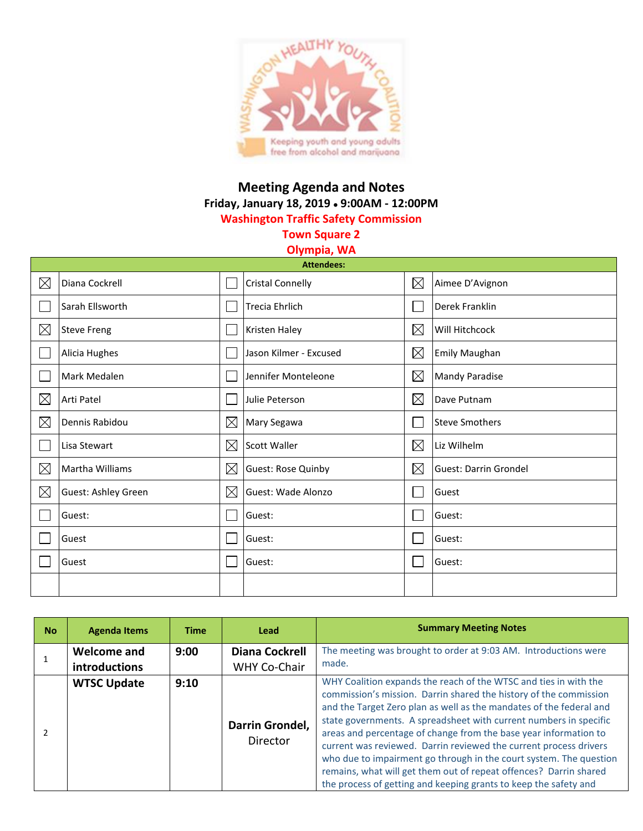

## **Meeting Agenda and Notes Friday, January 18, 2019 9:00AM - 12:00PM Washington Traffic Safety Commission**

**Town Square 2**

## **Olympia, WA**

| <b>Attendees:</b> |                     |             |                           |             |                              |  |  |
|-------------------|---------------------|-------------|---------------------------|-------------|------------------------------|--|--|
| $\boxtimes$       | Diana Cockrell      |             | <b>Cristal Connelly</b>   | $\boxtimes$ | Aimee D'Avignon              |  |  |
|                   | Sarah Ellsworth     |             | <b>Trecia Ehrlich</b>     |             | Derek Franklin               |  |  |
| $\boxtimes$       | <b>Steve Freng</b>  |             | Kristen Haley             | $\boxtimes$ | Will Hitchcock               |  |  |
|                   | Alicia Hughes       |             | Jason Kilmer - Excused    | $\boxtimes$ | <b>Emily Maughan</b>         |  |  |
|                   | Mark Medalen        |             | Jennifer Monteleone       | $\boxtimes$ | <b>Mandy Paradise</b>        |  |  |
| $\boxtimes$       | Arti Patel          |             | Julie Peterson            | $\boxtimes$ | Dave Putnam                  |  |  |
| $\boxtimes$       | Dennis Rabidou      | $\boxtimes$ | Mary Segawa               |             | <b>Steve Smothers</b>        |  |  |
|                   | Lisa Stewart        | $\boxtimes$ | Scott Waller              | $\boxtimes$ | Liz Wilhelm                  |  |  |
| ⊠                 | Martha Williams     | $\boxtimes$ | Guest: Rose Quinby        | ⊠           | <b>Guest: Darrin Grondel</b> |  |  |
| $\boxtimes$       | Guest: Ashley Green | $\boxtimes$ | <b>Guest: Wade Alonzo</b> |             | Guest                        |  |  |
|                   | Guest:              |             | Guest:                    |             | Guest:                       |  |  |
|                   | Guest               |             | Guest:                    |             | Guest:                       |  |  |
|                   | Guest               |             | Guest:                    |             | Guest:                       |  |  |
|                   |                     |             |                           |             |                              |  |  |

| <b>No</b>     | <b>Agenda Items</b>                        | <b>Time</b> | <b>Lead</b>                                  | <b>Summary Meeting Notes</b>                                                                                                                                                                                                                                                                                                                                                                                                                                                                                                                                                                                                              |
|---------------|--------------------------------------------|-------------|----------------------------------------------|-------------------------------------------------------------------------------------------------------------------------------------------------------------------------------------------------------------------------------------------------------------------------------------------------------------------------------------------------------------------------------------------------------------------------------------------------------------------------------------------------------------------------------------------------------------------------------------------------------------------------------------------|
|               | <b>Welcome and</b><br><b>introductions</b> | 9:00        | <b>Diana Cockrell</b><br><b>WHY Co-Chair</b> | The meeting was brought to order at 9:03 AM. Introductions were<br>made.                                                                                                                                                                                                                                                                                                                                                                                                                                                                                                                                                                  |
| $\mathcal{P}$ | <b>WTSC Update</b>                         | 9:10        | Darrin Grondel,<br>Director                  | WHY Coalition expands the reach of the WTSC and ties in with the<br>commission's mission. Darrin shared the history of the commission<br>and the Target Zero plan as well as the mandates of the federal and<br>state governments. A spreadsheet with current numbers in specific<br>areas and percentage of change from the base year information to<br>current was reviewed. Darrin reviewed the current process drivers<br>who due to impairment go through in the court system. The question<br>remains, what will get them out of repeat offences? Darrin shared<br>the process of getting and keeping grants to keep the safety and |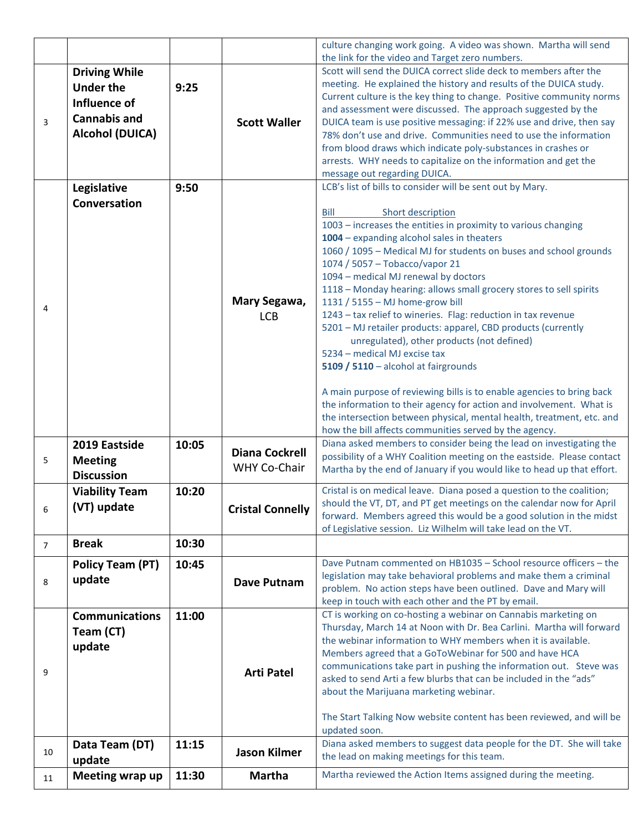|                |                                                                                                           |       |                                       | culture changing work going. A video was shown. Martha will send                                                                                                                                                                                                                                                                                                                                                                                                                                                                                                                                                                                                                                                                                                                                                                                                                                                |  |  |  |
|----------------|-----------------------------------------------------------------------------------------------------------|-------|---------------------------------------|-----------------------------------------------------------------------------------------------------------------------------------------------------------------------------------------------------------------------------------------------------------------------------------------------------------------------------------------------------------------------------------------------------------------------------------------------------------------------------------------------------------------------------------------------------------------------------------------------------------------------------------------------------------------------------------------------------------------------------------------------------------------------------------------------------------------------------------------------------------------------------------------------------------------|--|--|--|
| $\overline{3}$ | <b>Driving While</b><br><b>Under the</b><br>Influence of<br><b>Cannabis and</b><br><b>Alcohol (DUICA)</b> | 9:25  | <b>Scott Waller</b>                   | the link for the video and Target zero numbers.<br>Scott will send the DUICA correct slide deck to members after the<br>meeting. He explained the history and results of the DUICA study.<br>Current culture is the key thing to change. Positive community norms<br>and assessment were discussed. The approach suggested by the<br>DUICA team is use positive messaging: if 22% use and drive, then say<br>78% don't use and drive. Communities need to use the information<br>from blood draws which indicate poly-substances in crashes or<br>arrests. WHY needs to capitalize on the information and get the<br>message out regarding DUICA.                                                                                                                                                                                                                                                               |  |  |  |
|                | Legislative<br>Conversation                                                                               | 9:50  |                                       | LCB's list of bills to consider will be sent out by Mary.<br>Bill<br>Short description                                                                                                                                                                                                                                                                                                                                                                                                                                                                                                                                                                                                                                                                                                                                                                                                                          |  |  |  |
| 4              |                                                                                                           |       | Mary Segawa,<br><b>LCB</b>            | 1003 - increases the entities in proximity to various changing<br>1004 - expanding alcohol sales in theaters<br>1060 / 1095 - Medical MJ for students on buses and school grounds<br>1074 / 5057 - Tobacco/vapor 21<br>1094 - medical MJ renewal by doctors<br>1118 - Monday hearing: allows small grocery stores to sell spirits<br>1131 / 5155 - MJ home-grow bill<br>1243 - tax relief to wineries. Flag: reduction in tax revenue<br>5201 - MJ retailer products: apparel, CBD products (currently<br>unregulated), other products (not defined)<br>5234 - medical MJ excise tax<br>5109 / 5110 - alcohol at fairgrounds<br>A main purpose of reviewing bills is to enable agencies to bring back<br>the information to their agency for action and involvement. What is<br>the intersection between physical, mental health, treatment, etc. and<br>how the bill affects communities served by the agency. |  |  |  |
| 5              | 2019 Eastside<br><b>Meeting</b><br><b>Discussion</b>                                                      | 10:05 | <b>Diana Cockrell</b><br>WHY Co-Chair | Diana asked members to consider being the lead on investigating the<br>possibility of a WHY Coalition meeting on the eastside. Please contact<br>Martha by the end of January if you would like to head up that effort.                                                                                                                                                                                                                                                                                                                                                                                                                                                                                                                                                                                                                                                                                         |  |  |  |
| 6              | <b>Viability Team</b><br>(VT) update                                                                      | 10:20 | <b>Cristal Connelly</b>               | Cristal is on medical leave. Diana posed a question to the coalition;<br>should the VT, DT, and PT get meetings on the calendar now for April<br>forward. Members agreed this would be a good solution in the midst<br>of Legislative session. Liz Wilhelm will take lead on the VT.                                                                                                                                                                                                                                                                                                                                                                                                                                                                                                                                                                                                                            |  |  |  |
| $\overline{7}$ | <b>Break</b>                                                                                              | 10:30 |                                       |                                                                                                                                                                                                                                                                                                                                                                                                                                                                                                                                                                                                                                                                                                                                                                                                                                                                                                                 |  |  |  |
| 8              | <b>Policy Team (PT)</b><br>update                                                                         | 10:45 | Dave Putnam                           | Dave Putnam commented on HB1035 - School resource officers - the<br>legislation may take behavioral problems and make them a criminal<br>problem. No action steps have been outlined. Dave and Mary will<br>keep in touch with each other and the PT by email.                                                                                                                                                                                                                                                                                                                                                                                                                                                                                                                                                                                                                                                  |  |  |  |
| 9              | <b>Communications</b><br>Team (CT)<br>update                                                              | 11:00 | <b>Arti Patel</b>                     | CT is working on co-hosting a webinar on Cannabis marketing on<br>Thursday, March 14 at Noon with Dr. Bea Carlini. Martha will forward<br>the webinar information to WHY members when it is available.<br>Members agreed that a GoToWebinar for 500 and have HCA<br>communications take part in pushing the information out. Steve was<br>asked to send Arti a few blurbs that can be included in the "ads"<br>about the Marijuana marketing webinar.<br>The Start Talking Now website content has been reviewed, and will be<br>updated soon.                                                                                                                                                                                                                                                                                                                                                                  |  |  |  |
| 10             | Data Team (DT)<br>update                                                                                  | 11:15 | <b>Jason Kilmer</b>                   | Diana asked members to suggest data people for the DT. She will take<br>the lead on making meetings for this team.                                                                                                                                                                                                                                                                                                                                                                                                                                                                                                                                                                                                                                                                                                                                                                                              |  |  |  |
| 11             | Meeting wrap up                                                                                           | 11:30 | <b>Martha</b>                         | Martha reviewed the Action Items assigned during the meeting.                                                                                                                                                                                                                                                                                                                                                                                                                                                                                                                                                                                                                                                                                                                                                                                                                                                   |  |  |  |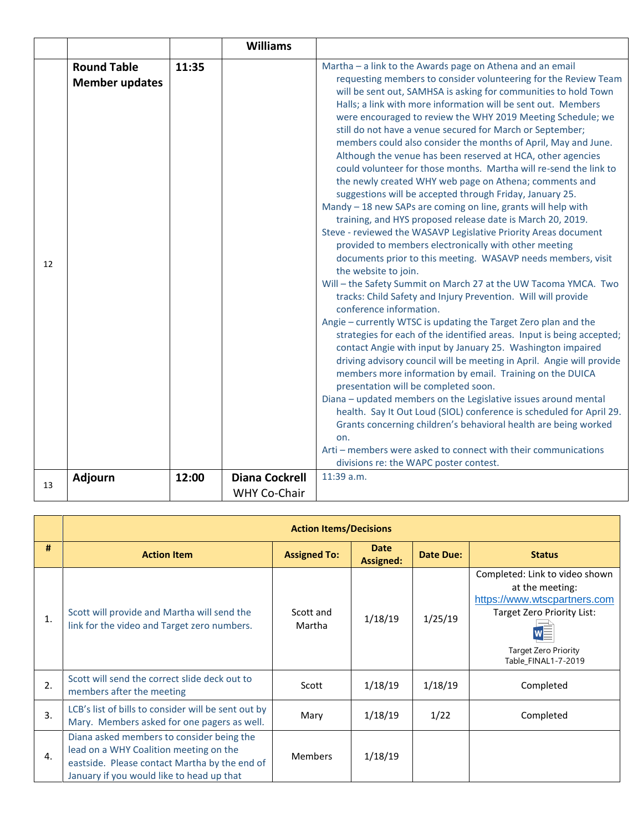|    |                       |       | <b>Williams</b>       |                                                                                                                               |
|----|-----------------------|-------|-----------------------|-------------------------------------------------------------------------------------------------------------------------------|
|    | <b>Round Table</b>    | 11:35 |                       | Martha - a link to the Awards page on Athena and an email                                                                     |
|    | <b>Member updates</b> |       |                       | requesting members to consider volunteering for the Review Team                                                               |
|    |                       |       |                       | will be sent out, SAMHSA is asking for communities to hold Town                                                               |
|    |                       |       |                       | Halls; a link with more information will be sent out. Members                                                                 |
|    |                       |       |                       | were encouraged to review the WHY 2019 Meeting Schedule; we                                                                   |
|    |                       |       |                       | still do not have a venue secured for March or September;                                                                     |
|    |                       |       |                       | members could also consider the months of April, May and June.                                                                |
|    |                       |       |                       | Although the venue has been reserved at HCA, other agencies                                                                   |
|    |                       |       |                       | could volunteer for those months. Martha will re-send the link to                                                             |
|    |                       |       |                       | the newly created WHY web page on Athena; comments and                                                                        |
|    |                       |       |                       | suggestions will be accepted through Friday, January 25.                                                                      |
|    |                       |       |                       | Mandy - 18 new SAPs are coming on line, grants will help with                                                                 |
|    |                       |       |                       | training, and HYS proposed release date is March 20, 2019.<br>Steve - reviewed the WASAVP Legislative Priority Areas document |
|    |                       |       |                       | provided to members electronically with other meeting                                                                         |
|    |                       |       |                       | documents prior to this meeting. WASAVP needs members, visit                                                                  |
| 12 |                       |       |                       | the website to join.                                                                                                          |
|    |                       |       |                       | Will - the Safety Summit on March 27 at the UW Tacoma YMCA. Two                                                               |
|    |                       |       |                       | tracks: Child Safety and Injury Prevention. Will will provide                                                                 |
|    |                       |       |                       | conference information.                                                                                                       |
|    |                       |       |                       | Angie - currently WTSC is updating the Target Zero plan and the                                                               |
|    |                       |       |                       | strategies for each of the identified areas. Input is being accepted;                                                         |
|    |                       |       |                       | contact Angie with input by January 25. Washington impaired                                                                   |
|    |                       |       |                       | driving advisory council will be meeting in April. Angie will provide                                                         |
|    |                       |       |                       | members more information by email. Training on the DUICA                                                                      |
|    |                       |       |                       | presentation will be completed soon.                                                                                          |
|    |                       |       |                       | Diana - updated members on the Legislative issues around mental                                                               |
|    |                       |       |                       | health. Say It Out Loud (SIOL) conference is scheduled for April 29.                                                          |
|    |                       |       |                       | Grants concerning children's behavioral health are being worked                                                               |
|    |                       |       |                       | on.                                                                                                                           |
|    |                       |       |                       | Arti - members were asked to connect with their communications                                                                |
|    |                       |       |                       | divisions re: the WAPC poster contest.                                                                                        |
| 13 | Adjourn               | 12:00 | <b>Diana Cockrell</b> | 11:39 a.m.                                                                                                                    |
|    |                       |       | WHY Co-Chair          |                                                                                                                               |

|                | <b>Action Items/Decisions</b>                                                                                                                                                     |                     |                                 |                  |                                                                                                                                                                       |  |  |  |
|----------------|-----------------------------------------------------------------------------------------------------------------------------------------------------------------------------------|---------------------|---------------------------------|------------------|-----------------------------------------------------------------------------------------------------------------------------------------------------------------------|--|--|--|
| #              | <b>Action Item</b>                                                                                                                                                                | <b>Assigned To:</b> | <b>Date</b><br><b>Assigned:</b> | <b>Date Due:</b> | <b>Status</b>                                                                                                                                                         |  |  |  |
| $\mathbf{1}$ . | Scott will provide and Martha will send the<br>link for the video and Target zero numbers.                                                                                        | Scott and<br>Martha | 1/18/19                         | 1/25/19          | Completed: Link to video shown<br>at the meeting:<br>https://www.wtscpartners.com<br>Target Zero Priority List:<br><b>Target Zero Priority</b><br>Table FINAL1-7-2019 |  |  |  |
| 2.             | Scott will send the correct slide deck out to<br>members after the meeting                                                                                                        | Scott               | 1/18/19                         | 1/18/19          | Completed                                                                                                                                                             |  |  |  |
| 3.             | LCB's list of bills to consider will be sent out by<br>Mary. Members asked for one pagers as well.                                                                                | Mary                | 1/18/19                         | 1/22             | Completed                                                                                                                                                             |  |  |  |
| 4.             | Diana asked members to consider being the<br>lead on a WHY Coalition meeting on the<br>eastside. Please contact Martha by the end of<br>January if you would like to head up that | <b>Members</b>      | 1/18/19                         |                  |                                                                                                                                                                       |  |  |  |